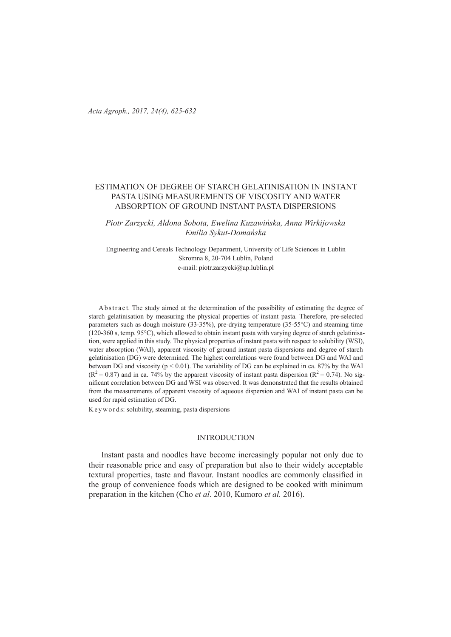# ESTIMATION OF DEGREE OF STARCH GELATINISATION IN INSTANT PASTA USING MEASUREMENTS OF VISCOSITY AND WATER ABSORPTION OF GROUND INSTANT PASTA DISPERSIONS

*Piotr Zarzycki, Aldona Sobota, Ewelina Kuzawińska, Anna Wirkijowska Emilia Sykut-Domańska*

Engineering and Cereals Technology Department, University of Life Sciences in Lublin Skromna 8, 20-704 Lublin, Poland e-mail: piotr.zarzycki@up.lublin.pl

A b s tract. The study aimed at the determination of the possibility of estimating the degree of starch gelatinisation by measuring the physical properties of instant pasta. Therefore, pre-selected parameters such as dough moisture (33-35%), pre-drying temperature (35-55°C) and steaming time (120-360 s, temp. 95°C), which allowed to obtain instant pasta with varying degree of starch gelatinisation, were applied in this study. The physical properties of instant pasta with respect to solubility (WSI), water absorption (WAI), apparent viscosity of ground instant pasta dispersions and degree of starch gelatinisation (DG) were determined. The highest correlations were found between DG and WAI and between DG and viscosity ( $p < 0.01$ ). The variability of DG can be explained in ca. 87% by the WAI  $(R^2 = 0.87)$  and in ca. 74% by the apparent viscosity of instant pasta dispersion  $(R^2 = 0.74)$ . No significant correlation between DG and WSI was observed. It was demonstrated that the results obtained from the measurements of apparent viscosity of aqueous dispersion and WAI of instant pasta can be used for rapid estimation of DG.

Keyword s: solubility, steaming, pasta dispersions

## INTRODUCTION

Instant pasta and noodles have become increasingly popular not only due to their reasonable price and easy of preparation but also to their widely acceptable textural properties, taste and flavour. Instant noodles are commonly classified in the group of convenience foods which are designed to be cooked with minimum preparation in the kitchen (Cho *et al*. 2010, Kumoro *et al.* 2016).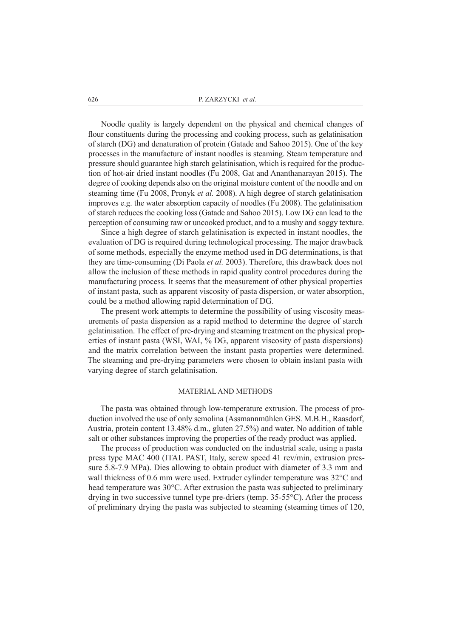Noodle quality is largely dependent on the physical and chemical changes of flour constituents during the processing and cooking process, such as gelatinisation of starch (DG) and denaturation of protein (Gatade and Sahoo 2015). One of the key processes in the manufacture of instant noodles is steaming. Steam temperature and pressure should guarantee high starch gelatinisation, which is required for the production of hot-air dried instant noodles (Fu 2008, Gat and Ananthanarayan 2015). The degree of cooking depends also on the original moisture content of the noodle and on steaming time (Fu 2008, Pronyk *et al.* 2008). A high degree of starch gelatinisation improves e.g. the water absorption capacity of noodles (Fu 2008). The gelatinisation of starch reduces the cooking loss (Gatade and Sahoo 2015). Low DG can lead to the perception of consuming raw or uncooked product, and to a mushy and soggy texture.

Since a high degree of starch gelatinisation is expected in instant noodles, the evaluation of DG is required during technological processing. The major drawback of some methods, especially the enzyme method used in DG determinations, is that they are time-consuming (Di Paola *et al.* 2003). Therefore, this drawback does not allow the inclusion of these methods in rapid quality control procedures during the manufacturing process. It seems that the measurement of other physical properties of instant pasta, such as apparent viscosity of pasta dispersion, or water absorption, could be a method allowing rapid determination of DG.

The present work attempts to determine the possibility of using viscosity measurements of pasta dispersion as a rapid method to determine the degree of starch gelatinisation. The effect of pre-drying and steaming treatment on the physical properties of instant pasta (WSI, WAI, % DG, apparent viscosity of pasta dispersions) and the matrix correlation between the instant pasta properties were determined. The steaming and pre-drying parameters were chosen to obtain instant pasta with varying degree of starch gelatinisation.

#### MATERIAL AND METHODS

The pasta was obtained through low-temperature extrusion. The process of production involved the use of only semolina (Assmannmühlen GES. M.B.H., Raasdorf, Austria, protein content 13.48% d.m., gluten 27.5%) and water. No addition of table salt or other substances improving the properties of the ready product was applied.

The process of production was conducted on the industrial scale, using a pasta press type MAC 400 (ITAL PAST, Italy, screw speed 41 rev/min, extrusion pressure 5.8-7.9 MPa). Dies allowing to obtain product with diameter of 3.3 mm and wall thickness of 0.6 mm were used. Extruder cylinder temperature was 32°C and head temperature was 30°C. After extrusion the pasta was subjected to preliminary drying in two successive tunnel type pre-driers (temp. 35-55°C). After the process of preliminary drying the pasta was subjected to steaming (steaming times of 120,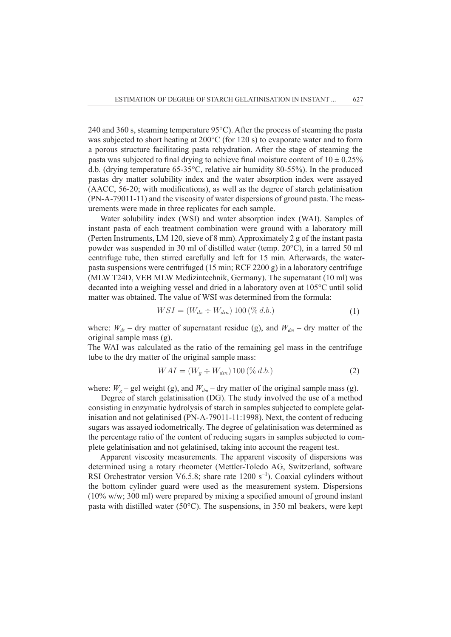240 and 360 s, steaming temperature 95°C). After the process of steaming the pasta was subjected to short heating at 200°C (for 120 s) to evaporate water and to form a porous structure facilitating pasta rehydration. After the stage of steaming the pasta was subjected to final drying to achieve final moisture content of  $10 \pm 0.25\%$ d.b. (drying temperature 65-35°C, relative air humidity 80-55%). In the produced pastas dry matter solubility index and the water absorption index were assayed (AACC, 56-20; with modifications), as well as the degree of starch gelatinisation (PN-A-79011-11) and the viscosity of water dispersions of ground pasta. The measurements were made in three replicates for each sample.

Water solubility index (WSI) and water absorption index (WAI). Samples of instant pasta of each treatment combination were ground with a laboratory mill (Perten Instruments, LM 120, sieve of 8 mm). Approximately 2 g of the instant pasta powder was suspended in 30 ml of distilled water (temp. 20°C), in a tarred 50 ml centrifuge tube, then stirred carefully and left for 15 min. Afterwards, the waterpasta suspensions were centrifuged (15 min; RCF 2200 g) in a laboratory centrifuge (MLW T24D, VEB MLW Medizintechnik, Germany). The supernatant (10 ml) was decanted into a weighing vessel and dried in a laboratory oven at 105°C until solid matter was obtained. The value of WSI was determined from the formula:

$$
WSI = (W_{ds} \div W_{dm}) 100 \, (\% \, d.b.) \tag{1}
$$

where:  $W_{ds}$  – dry matter of supernatant residue (g), and  $W_{dm}$  – dry matter of the original sample mass (g).

The WAI was calculated as the ratio of the remaining gel mass in the centrifuge tube to the dry matter of the original sample mass:

$$
WAI = (W_g \div W_{dm}) 100 \, (\% \, d.b.) \tag{2}
$$

where:  $W_g$  – gel weight (g), and  $W_{dm}$  – dry matter of the original sample mass (g).

Degree of starch gelatinisation (DG). The study involved the use of a method consisting in enzymatic hydrolysis of starch in samples subjected to complete gelatinisation and not gelatinised (PN-A-79011-11:1998). Next, the content of reducing sugars was assayed iodometrically. The degree of gelatinisation was determined as the percentage ratio of the content of reducing sugars in samples subjected to complete gelatinisation and not gelatinised, taking into account the reagent test.

Apparent viscosity measurements. The apparent viscosity of dispersions was determined using a rotary rheometer (Mettler-Toledo AG, Switzerland, software RSI Orchestrator version V6.5.8; share rate 1200  $s^{-1}$ ). Coaxial cylinders without the bottom cylinder guard were used as the measurement system. Dispersions (10% w/w; 300 ml) were prepared by mixing a specified amount of ground instant pasta with distilled water (50°C). The suspensions, in 350 ml beakers, were kept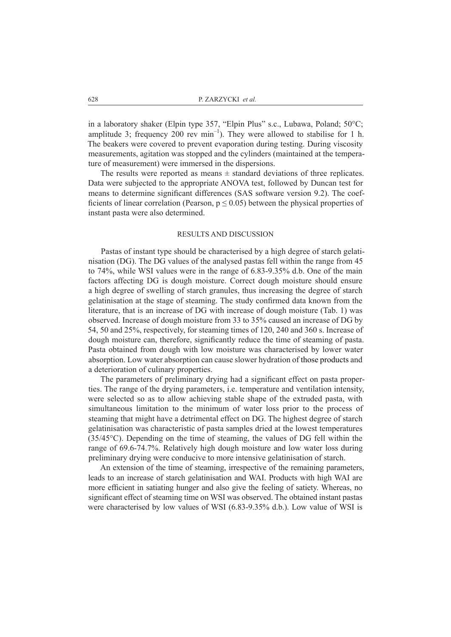in a laboratory shaker (Elpin type 357, "Elpin Plus" s.c., Lubawa, Poland; 50°C; amplitude 3; frequency 200 rev  $min^{-1}$ ). They were allowed to stabilise for 1 h. The beakers were covered to prevent evaporation during testing. During viscosity measurements, agitation was stopped and the cylinders (maintained at the temperature of measurement) were immersed in the dispersions.

The results were reported as means  $\pm$  standard deviations of three replicates. Data were subjected to the appropriate ANOVA test, followed by Duncan test for means to determine significant differences (SAS software version 9.2). The coefficients of linear correlation (Pearson,  $p \le 0.05$ ) between the physical properties of instant pasta were also determined.

#### RESULTS AND DISCUSSION

Pastas of instant type should be characterised by a high degree of starch gelatinisation (DG). The DG values of the analysed pastas fell within the range from 45 to 74%, while WSI values were in the range of 6.83-9.35% d.b. One of the main factors affecting DG is dough moisture. Correct dough moisture should ensure a high degree of swelling of starch granules, thus increasing the degree of starch gelatinisation at the stage of steaming. The study confirmed data known from the literature, that is an increase of DG with increase of dough moisture (Tab. 1) was observed. Increase of dough moisture from 33 to 35% caused an increase of DG by 54, 50 and 25%, respectively, for steaming times of 120, 240 and 360 s. Increase of dough moisture can, therefore, significantly reduce the time of steaming of pasta. Pasta obtained from dough with low moisture was characterised by lower water absorption. Low water absorption can cause slower hydration of those products and a deterioration of culinary properties.

The parameters of preliminary drying had a significant effect on pasta properties. The range of the drying parameters, i.e. temperature and ventilation intensity, were selected so as to allow achieving stable shape of the extruded pasta, with simultaneous limitation to the minimum of water loss prior to the process of steaming that might have a detrimental effect on DG. The highest degree of starch gelatinisation was characteristic of pasta samples dried at the lowest temperatures (35/45°C). Depending on the time of steaming, the values of DG fell within the range of 69.6-74.7%. Relatively high dough moisture and low water loss during preliminary drying were conducive to more intensive gelatinisation of starch.

An extension of the time of steaming, irrespective of the remaining parameters, leads to an increase of starch gelatinisation and WAI. Products with high WAI are more efficient in satiating hunger and also give the feeling of satiety. Whereas, no significant effect of steaming time on WSI was observed. The obtained instant pastas were characterised by low values of WSI (6.83-9.35% d.b.). Low value of WSI is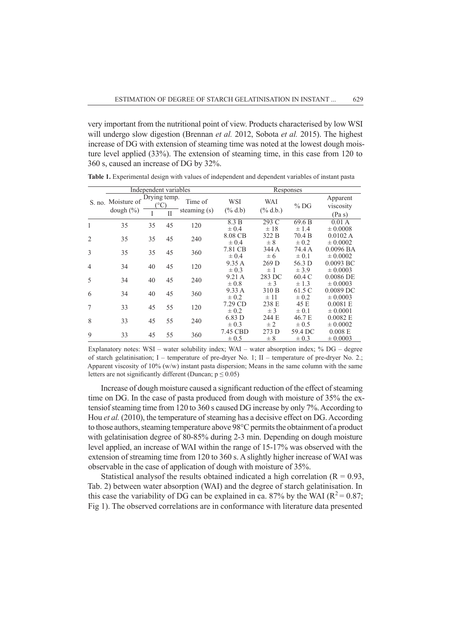very important from the nutritional point of view. Products characterised by low WSI will undergo slow digestion (Brennan *et al.* 2012, Sobota *et al.* 2015). The highest increase of DG with extension of steaming time was noted at the lowest dough moisture level applied (33%). The extension of steaming time, in this case from 120 to 360 s, caused an increase of DG by 32%.

|                | Independent variables |              |              |                | Responses             |                   |                      |                             |
|----------------|-----------------------|--------------|--------------|----------------|-----------------------|-------------------|----------------------|-----------------------------|
|                | S. no. Moisture of    | Drying temp. |              | Time of        | <b>WSI</b>            | WAI               | $%$ DG               | Apparent<br>viscosity       |
|                | dough $(\% )$         |              | $\mathbf{I}$ | steaming $(s)$ | $(\%$ d.b)            | $(\%$ d.b.)       |                      | (Pa s)                      |
| 1              | 35                    | 35           | 45           | 120            | 8.3 B<br>$\pm 0.4$    | 293 C<br>$\pm$ 18 | 69.6B<br>$\pm$ 1.4   | 0.01 A<br>$\pm 0.0008$      |
| $\overline{2}$ | 35                    | 35           | 45           | 240            | 8.08 CB<br>$\pm 0.4$  | 322 B<br>$\pm 8$  | 70.4 B<br>$\pm 0.2$  | 0.0102 A<br>$\pm 0.0002$    |
| 3              | 35                    | 35           | 45           | 360            | 7.81 CB               | 344 A             | 74.4 A               | $0.0096$ BA                 |
| $\overline{4}$ | 34                    | 40           | 45           | 120            | $\pm 0.4$<br>9.35 A   | ± 6<br>$269$ D    | $\pm 0.1$<br>56.3 D  | $\pm 0.0002$<br>$0.0093$ BC |
|                |                       |              |              |                | $\pm$ 0.3<br>9.21 A   | ±1<br>283 DC      | ± 3.9<br>60.4 C      | $\pm 0.0003$<br>$0.0086$ DE |
| 5              | 34                    | 40           | 45           | 240            | $\pm 0.8$<br>9.33 A   | $±$ 3<br>310 B    | $\pm$ 1.3<br>61.5 C  | $\pm 0.0003$<br>$0.0089$ DC |
| 6              | 34                    | 40           | 45           | 360            | $\pm 0.2$             | ± 11              | $\pm 0.2$            | $\pm 0.0003$                |
| 7              | 33                    | 45           | 55           | 120            | 7.29 CD<br>$\pm 0.2$  | 238 E<br>$±$ 3    | 45 E<br>$\pm 0.1$    | 0.0081 E<br>$\pm 0.0001$    |
| 8              | 33                    | 45           | 55           | 240            | 6.83 D<br>$\pm 0.3$   | 244 E<br>$\pm 2$  | 46.7 E<br>$\pm 0.5$  | 0.0082 E<br>$\pm 0.0002$    |
| 9              | 33                    | 45           | 55           | 360            | 7.45 CBD<br>$\pm 0.5$ | 273 D<br>$\pm$ 8  | 59.4 DC<br>$\pm 0.3$ | 0.008 E<br>$\pm 0.0003$     |

**Table 1.** Experimental design with values of independent and dependent variables of instant pasta

Explanatory notes: WSI – water solubility index; WAI – water absorption index; % DG – degree of starch gelatinisation; I – temperature of pre-dryer No. 1; II – temperature of pre-dryer No. 2.; Apparent viscosity of 10% (w/w) instant pasta dispersion; Means in the same column with the same letters are not significantly different (Duncan;  $p \le 0.05$ )

Increase of dough moisture caused a significant reduction of the effect of steaming time on DG. In the case of pasta produced from dough with moisture of 35% the extensiof steaming time from 120 to 360 s caused DG increase by only 7%. According to Hou *et al.* (2010), the temperature of steaming has a decisive effect on DG. According to those authors, steaming temperature above 98°C permits the obtainment of a product with gelatinisation degree of 80-85% during 2-3 min. Depending on dough moisture level applied, an increase of WAI within the range of 15-17% was observed with the extension of streaming time from 120 to 360 s. A slightly higher increase of WAI was observable in the case of application of dough with moisture of 35%.

Statistical analysof the results obtained indicated a high correlation  $(R = 0.93)$ , Tab. 2) between water absorption (WAI) and the degree of starch gelatinisation. In this case the variability of DG can be explained in ca. 87% by the WAI ( $R^2 = 0.87$ ; Fig 1). The observed correlations are in conformance with literature data presented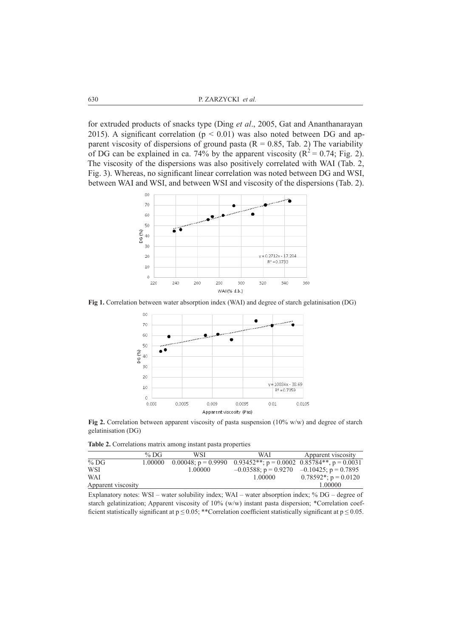for extruded products of snacks type (Ding *et al*., 2005, Gat and Ananthanarayan 2015). A significant correlation ( $p < 0.01$ ) was also noted between DG and apparent viscosity of dispersions of ground pasta ( $R = 0.85$ , Tab. 2) The variability of DG can be explained in ca. 74% by the apparent viscosity ( $R^2 = 0.74$ ; Fig. 2). The viscosity of the dispersions was also positively correlated with WAI (Tab. 2, Fig. 3). Whereas, no significant linear correlation was noted between DG and WSI, between WAI and WSI, and between WSI and viscosity of the dispersions (Tab. 2).



**Fig 1.** Correlation between water absorption index (WAI) and degree of starch gelatinisation (DG)



**Fig 2.** Correlation between apparent viscosity of pasta suspension (10% w/w) and degree of starch gelatinisation (DG)

**Table 2.** Correlations matrix among instant pasta properties

|                    | % DG    | WSI     | WAI                                                                   | Apparent viscosity       |
|--------------------|---------|---------|-----------------------------------------------------------------------|--------------------------|
| $%$ DG             | 1.00000 |         | 0.00048; $p = 0.9990$ 0.93452**; $p = 0.0002$ 0.85784**, $p = 0.0031$ |                          |
| <b>WSI</b>         |         | 1.00000 | $-0.03588$ ; p = 0.9270 $-0.10425$ ; p = 0.7895                       |                          |
| WAI                |         |         | 1.00000                                                               | $0.78592^*$ ; p = 0.0120 |
| Apparent viscosity |         |         |                                                                       | 1.00000                  |

Explanatory notes: WSI – water solubility index; WAI – water absorption index; % DG – degree of starch gelatinization; Apparent viscosity of 10% (w/w) instant pasta dispersion; \*Correlation coefficient statistically significant at  $p \le 0.05$ ; \*\*Correlation coefficient statistically significant at  $p \le 0.05$ .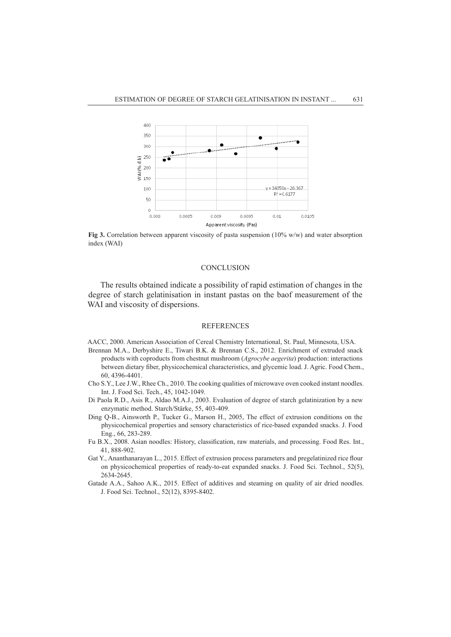

Fig 3. Correlation between apparent viscosity of pasta suspension (10% w/w) and water absorption index (WAI)

### **CONCLUSION**

The results obtained indicate a possibility of rapid estimation of changes in the degree of starch gelatinisation in instant pastas on the baof measurement of the WAI and viscosity of dispersions.

### REFERENCES

- AACC, 2000. American Association of Cereal Chemistry International, St. Paul, Minnesota, USA.
- Brennan M.A., Derbyshire E., Tiwari B.K. & Brennan C.S., 2012. Enrichment of extruded snack products with coproducts from chestnut mushroom (*Agrocybe aegerita*) production: interactions between dietary fiber, physicochemical characteristics, and glycemic load. J. Agric. Food Chem., 60, 4396-4401.
- Cho S.Y., Lee J.W., Rhee Ch., 2010. The cooking qualities of microwave oven cooked instant noodles. Int. J. Food Sci. Tech., 45, 1042-1049.
- Di Paola R.D., Asis R., Aldao M.A.J., 2003. Evaluation of degree of starch gelatinization by a new enzymatic method. Starch/Stärke, 55, 403-409.
- Ding Q-B., Ainsworth P., Tucker G., Marson H., 2005, The effect of extrusion conditions on the physicochemical properties and sensory characteristics of rice-based expanded snacks. J. Food Eng., 66, 283-289.
- Fu B.X., 2008. Asian noodles: History, classification, raw materials, and processing. Food Res. Int., 41, 888-902.
- Gat Y., Ananthanarayan L., 2015. Effect of extrusion process parameters and pregelatinized rice flour on physicochemical properties of ready-to-eat expanded snacks. J. Food Sci. Technol., 52(5), 2634-2645.
- Gatade A.A., Sahoo A.K., 2015. Effect of additives and steaming on quality of air dried noodles. J. Food Sci. Technol., 52(12), 8395-8402.